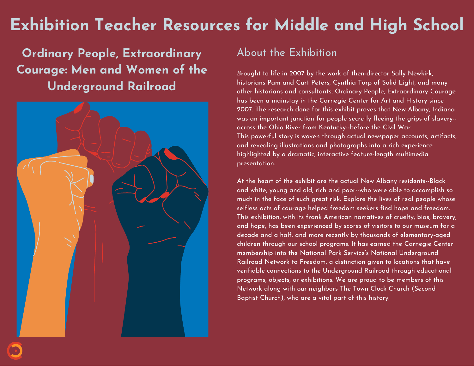# **Exhibition Teacher Resources for Middle and High School**

**Ordinary People, Extraordinary Courage: Men and Women of the Underground Railroad**



### About the Exhibition

*B*rought to life in 2007 by the work of then-director Sally Newkirk, historians Pam and Curt Peters, Cynthia Torp of Solid Light, and many other historians and consultants, Ordinary People, Extraordinary Courage has been a mainstay in the Carnegie Center for Art and History since 2007. The research done for this exhibit proves that New Albany, Indiana was an important junction for people secretly fleeing the grips of slavery- across the Ohio River from Kentucky--before the Civil War. This powerful story is woven through actual newspaper accounts, artifacts, and revealing illustrations and photographs into a rich experience highlighted by a dramatic, interactive feature-length multimedia presentation.

At the heart of the exhibit are the actual New Albany residents--Black and white, young and old, rich and poor--who were able to accomplish so much in the face of such great risk. Explore the lives of real people whose selfless acts of courage helped freedom seekers find hope and freedom. This exhibition, with its frank American narratives of cruelty, bias, bravery, and hope, has been experienced by scores of visitors to our museum for a decade and a half, and more recently by thousands of elementary-aged children through our school programs. It has earned the Carnegie Center membership into the National Park Service's National Underground Railroad Network to Freedom, a distinction given to locations that have verifiable connections to the Underground Railroad through educational programs, objects, or exhibitions. We are proud to be members of this Network along with our neighbors The Town Clock Church (Second Baptist Church), who are a vital part of this history.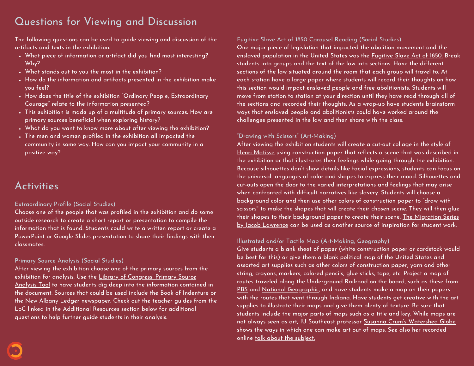### Questions for Viewing and Discussion

The following questions can be used to guide viewing and discussion of the artifacts and texts in the exhibition.

- What piece of information or artifact did you find most interesting? Why?
- What stands out to you the most in the exhibition?
- How do the information and artifacts presented in the exhibition make you feel?
- How does the title of the exhibition "Ordinary People, Extraordinary Courage" relate to the information presented?
- This exhibition is made up of a multitude of primary sources. How are primary sources beneficial when exploring history?
- What do you want to know more about after viewing the exhibition?
- The men and women profiled in the exhibition all impacted the community in some way. How can you impact your community in a positive way?

### Activities

### Extraordinary Profile (Social Studies)

Choose one of the people that was profiled in the exhibition and do some outside research to create a short report or presentation to compile the information that is found. Students could write a written report or create a PowerPoint or Google Slides presentation to share their findings with their classmates.

### Primary Source Analysis (Social Studies)

After viewing the exhibition choose one of the primary sources from the exhibition for analysis. Use the Library of [Congress'](https://www.loc.gov/static/programs/teachers/getting-started-with-primary-sources/documents/Primary_Source_Analysis_Tool_LOC.pdf) Primary Source [Analysis](https://www.loc.gov/static/programs/teachers/getting-started-with-primary-sources/documents/Primary_Source_Analysis_Tool_LOC.pdf) Tool to have students dig deep into the information contained in the document. Sources that could be used include the Book of Indenture or the New Albany Ledger newspaper. Check out the teacher guides from the LoC linked in the Additional Resources section below for additional questions to help further guide students in their analysis.

### Fugitive Slave Act of 1850 [Carousel](https://shelleygrayteaching.com/carousel/) Reading (Social Studies)

One major piece of legislation that impacted the abolition movement and the enslaved population in the United States was the [Fugitive](https://avalon.law.yale.edu/19th_century/fugitive.asp) Slave Act of 1850. Break students into groups and the text of the law into sections. Have the different sections of the law situated around the room that each group will travel to. At each station have a large paper where students will record their thoughts on how this section would impact enslaved people and free abolitionists. Students will move from station to station at your direction until they have read through all of the sections and recorded their thoughts. As a wrap-up have students brainstorm ways that enslaved people and abolitionists could have worked around the challenges presented in the law and then share with the class.

### "Drawing with Scissors" (Art-Making)

After viewing the exhibition students will create a cut-out [collage](https://www.moma.org/interactives/exhibitions/2014/matisse/the-cut-outs.html) in the style of Henri [Matisse](https://www.moma.org/interactives/exhibitions/2014/matisse/the-cut-outs.html) using construction paper that reflects a scene that was described in the exhibition or that illustrates their feelings while going through the exhibition. Because silhouettes don't show details like facial expressions, students can focus on the universal languages of color and shapes to express their mood. Silhouettes and cut-outs open the door to the varied interpretations and feelings that may arise when confronted with difficult narratives like slavery. Students will choose a background color and then use other colors of construction paper to "draw with scissors'' to make the shapes that will create their chosen scene. They will then glue their shapes to their background paper to create their scene. The [Migration](https://lawrencemigration.phillipscollection.org/the-migration-series) Series by Jacob [Lawrence](https://lawrencemigration.phillipscollection.org/the-migration-series) can be used as another source of inspiration for student work.

### Illustrated and/or Tactile Map (Art-Making, Geography)

Give students a blank sheet of paper (white construction paper or cardstock would be best for this) or give them a blank political map of the United States and assorted art supplies such as other colors of construction paper, yarn and other string, crayons, markers, colored pencils, glue sticks, tape, etc. Project a map of routes traveled along the Underground Railroad on the board, such as these from [PBS](https://www.pbs.org/wgbh/americanexperience/features/lincolns-underground-railroad/) and National [Geographic,](https://www.nationalgeographic.org/maps/undergroundrailroad/) and have students make a map on their papers with the routes that went through Indiana. Have students get creative with the art supplies to illustrate their maps and give them plenty of texture. Be sure that students include the major parts of maps such as a title and key. While maps are not always seen as art, IU Southeast professor Susanna Crum's [Watershed](https://www.susanna-crum.com/watershed-globe) Globe shows the ways in which one can make art out of maps. See also her recorded online talk about the [subject.](https://www.youtube.com/watch?v=RGQAliPt290)